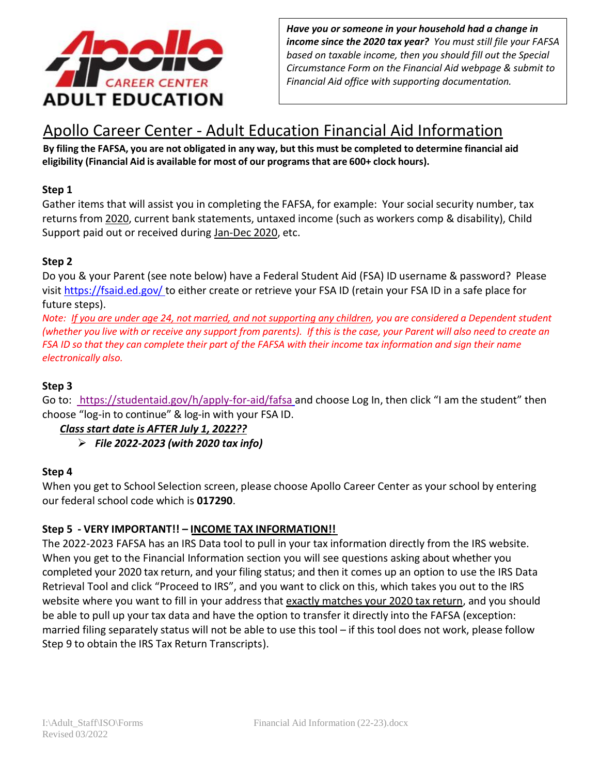

 *income since the 2020 tax year? You must still file your FAFSA Have you or someone in your household had a change in based on taxable income, then you should fill out the Special Circumstance Form on the Financial Aid webpage & submit to Financial Aid office with supporting documentation.*

# Apollo Career Center - Adult Education Financial Aid Information

By filing the FAFSA, you are not obligated in any way, but this must be completed to determine financial aid **eligibility (Financial Aid is available for most of our programsthat are 600+ clock hours).**

#### **Step 1**

Gather items that will assist you in completing the FAFSA, for example: Your social security number, tax returns from 2020, current bank statements, untaxed income (such as workers comp & disability), Child Support paid out or received during Jan-Dec 2020, etc.

#### **Step 2**

Do you & your Parent (see note below) have a Federal Student Aid (FSA) ID username & password? Please visit<https://fsaid.ed.gov/> to either create or retrieve your FSA ID (retain your FSA ID in a safe place for future steps).

Note: If you are under age 24, not married, and not supporting any children, you are considered a Dependent student (whether you live with or receive any support from parents). If this is the case, your Parent will also need to create an FSA ID so that they can complete their part of the FAFSA with their income tax information and sign their name *electronically also.*

#### **Step 3**

Go to:<https://studentaid.gov/h/apply-for-aid/fafsa> and choose Log In, then click "I am the student" then choose "log-in to continue" & log-in with your FSA ID.

# *Class start date is AFTER July 1, 2022??*

➢ *File 2022-2023 (with 2020 tax info)*

#### **Step 4**

When you get to School Selection screen, please choose Apollo Career Center as your school by entering our federal school code which is **017290**.

# **Step 5 - VERY IMPORTANT!! – INCOME TAX INFORMATION!!**

The 2022-2023 FAFSA has an IRS Data tool to pull in your tax information directly from the IRS website. When you get to the Financial Information section you will see questions asking about whether you completed your 2020 tax return, and your filing status; and then it comes up an option to use the IRS Data Retrieval Tool and click "Proceed to IRS", and you want to click on this, which takes you out to the IRS website where you want to fill in your address that exactly matches your 2020 tax return, and you should be able to pull up your tax data and have the option to transfer it directly into the FAFSA (exception: married filing separately status will not be able to use this tool – if this tool does not work, please follow Step 9 to obtain the IRS Tax Return Transcripts).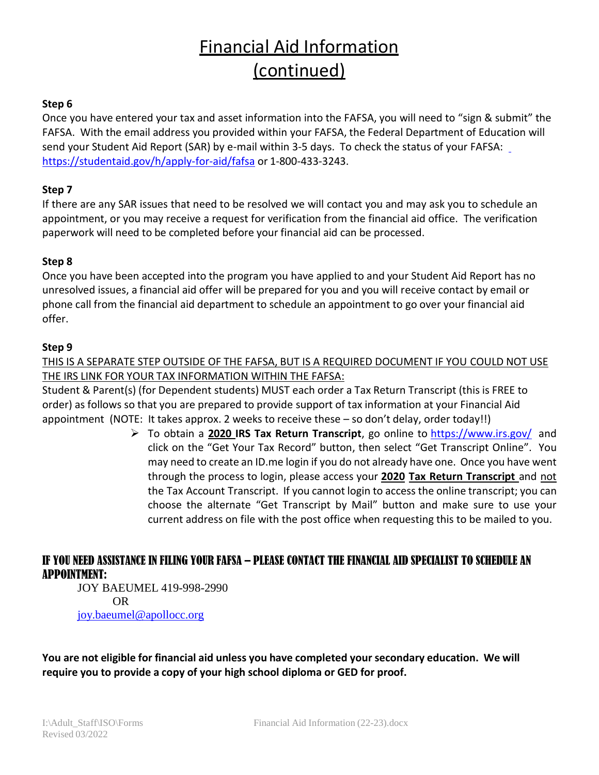# Financial Aid Information (continued)

#### **Step 6**

Once you have entered your tax and asset information into the FAFSA, you will need to "sign & submit" the FAFSA. With the email address you provided within your FAFSA, the Federal Department of Educ[ation](https://studentaid.gov/h/apply-for-aid/fafsa) will send your Student Aid Report (SAR) by e-mail within 3-5 days. To check the status of your FAFSA: <https://studentaid.gov/h/apply-for-aid/fafsa> or 1-800-433-3243.

#### **Step 7**

If there are any SAR issues that need to be resolved we will contact you and may ask you to schedule an appointment, or you may receive a request for verification from the financial aid office. The verification paperwork will need to be completed before your financial aid can be processed.

#### **Step 8**

Once you have been accepted into the program you have applied to and your Student Aid Report has no unresolved issues, a financial aid offer will be prepared for you and you will receive contact by email or phone call from the financial aid department to schedule an appointment to go over your financial aid offer.

#### **Step 9**

THIS IS A SEPARATE STEP OUTSIDE OF THE FAFSA, BUT IS A REQUIRED DOCUMENT IF YOU COULD NOT USE THE IRS LINK FOR YOUR TAX INFORMATION WITHIN THE FAFSA:

Student & Parent(s) (for Dependent students) MUST each order a Tax Return Transcript (this is FREE to order) as follows so that you are prepared to provide support of tax information at your Financial Aid appointment (NOTE: It takes approx. 2 weeks to receive these – so don't delay, order today!!)

> ➢ To obtain a **2020 IRS Tax Return Transcript**, go online to<https://www.irs.gov/> and click on the "Get Your Tax Record" button, then select "Get Transcript Online". You may need to create an ID.me login if you do not already have one. Once you have went through the process to login, please access your **2020 Tax Return Transcript** and not the Tax Account Transcript. If you cannot login to access the online transcript; you can choose the alternate "Get Transcript by Mail" button and make sure to use your current address on file with the post office when requesting this to be mailed to you.

# IF YOU NEED ASSISTANCE IN FILING YOUR FAFSA – PLEASE CONTACT THE FINANCIAL AID SPECIALIST TO SCHEDULE AN APPOINTMENT:

JOY BAEUMEL 419-998-2990 OR [joy.baeumel@apollocc.org](mailto:joy.baeumel@apollocc.org)

**You are not eligible for financial aid unless you have completed your secondary education. We will require you to provide a copy of your high school diploma or GED for proof.**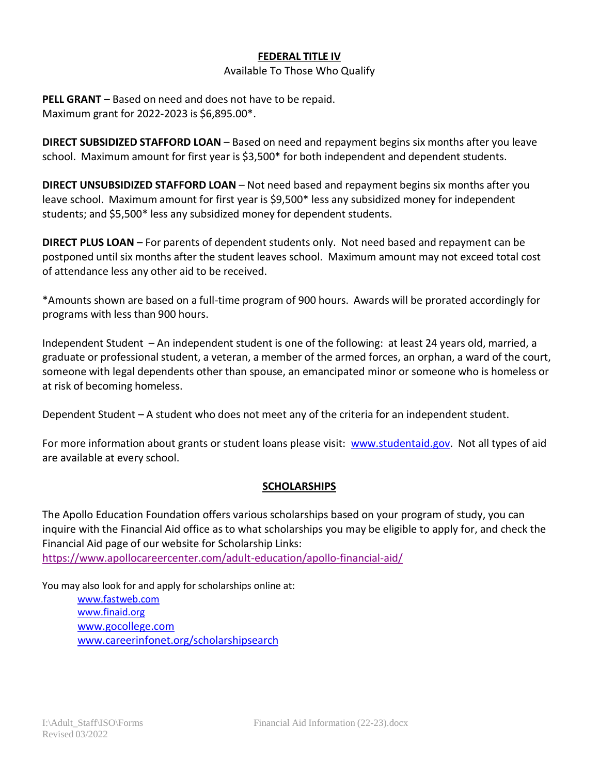#### **FEDERAL TITLE IV**

#### Available To Those Who Qualify

**PELL GRANT** – Based on need and does not have to be repaid. Maximum grant for 2022-2023 is \$6,895.00\*.

**DIRECT SUBSIDIZED STAFFORD LOAN** – Based on need and repayment begins six months after you leave school. Maximum amount for first year is \$3,500\* for both independent and dependent students.

**DIRECT UNSUBSIDIZED STAFFORD LOAN** – Not need based and repayment begins six months after you leave school. Maximum amount for first year is \$9,500\* less any subsidized money for independent students; and \$5,500\* less any subsidized money for dependent students.

**DIRECT PLUS LOAN** – For parents of dependent students only. Not need based and repayment can be postponed until six months after the student leaves school. Maximum amount may not exceed total cost of attendance less any other aid to be received.

\*Amounts shown are based on a full-time program of 900 hours. Awards will be prorated accordingly for programs with less than 900 hours.

Independent Student – An independent student is one of the following: at least 24 years old, married, a graduate or professional student, a veteran, a member of the armed forces, an orphan, a ward of the court, someone with legal dependents other than spouse, an emancipated minor or someone who is homeless or at risk of becoming homeless.

Dependent Student – A student who does not meet any of the criteria for an independent student.

For more information about grants or student loans please visit: [www.studentaid.gov.](http://www.studentaid.gov/) Not all types of aid are available at every school.

#### **SCHOLARSHIPS**

The Apollo Education Foundation offers various scholarships based on your program of study, you can inquire with the Financial Aid office as to what scholarships you may be eligible to apply for, and check the Financial Aid page of our website for Scholarship Links: <https://www.apollocareercenter.com/adult-education/apollo-financial-aid/>

You may also look for and apply for scholarships online at:

[www.fastweb.com](http://www.fastweb.com/) [www.finaid.org](http://www.finaid.org/) [www.gocollege.com](http://www.gocollege.com/) [www.careerinfonet.org/scholarshipsearch](http://www.careerinfonet.org/scholarshipsearch)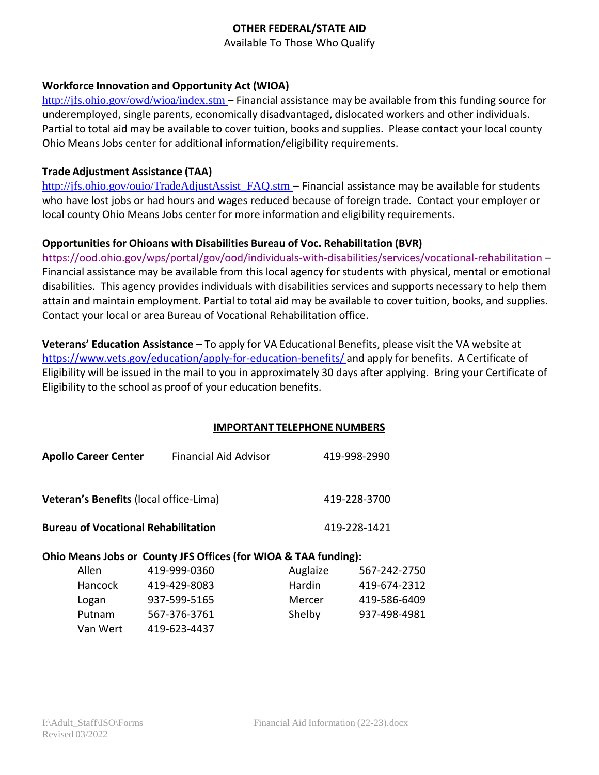# **OTHER FEDERAL/STATE AID**

Available To Those Who Qualify

#### **Workforce Innovation and Opportunity Act (WIOA)**

<http://jfs.ohio.gov/owd/wioa/index.stm> – Financial assistance may be available from this funding source for underemployed, single parents, economically disadvantaged, dislocated workers and other individuals. Partial to total aid may be available to cover tuition, books and supplies. Please contact your local county Ohio Means Jobs center for additional information/eligibility requirements.

#### **Trade Adjustment Assistance (TAA)**

[http://jfs.ohio.gov/ouio/TradeAdjustAssist\\_FAQ.stm](http://jfs.ohio.gov/ouio/TradeAdjustAssist_FAQ.stm) - Financial assistance may be available for students who have lost jobs or had hours and wages reduced because of foreign trade. Contact your employer or local county Ohio Means Jobs center for more information and eligibility requirements.

#### **Opportunities for Ohioans with Disabilities Bureau of Voc. Rehabilitation (BVR)**

<https://ood.ohio.gov/wps/portal/gov/ood/individuals-with-disabilities/services/vocational-rehabilitation> – Financial assistance may be available from this local agency for students with physical, mental or emotional disabilities. This agency provides individuals with disabilities services and supports necessary to help them attain and maintain employment. Partial to total aid may be available to cover tuition, books, and supplies. Contact your local or area Bureau of Vocational Rehabilitation office.

**Veterans' Education Assistance** – To apply for VA Educational Benefits, please visit the VA website at <https://www.vets.gov/education/apply-for-education-benefits/> and apply for benefits. A Certificate of Eligibility will be issued in the mail to you in approximately 30 days after applying. Bring your Certificate of Eligibility to the school as proof of your education benefits.

#### **IMPORTANT TELEPHONE NUMBERS**

| <b>Apollo Career Center</b>                | <b>Financial Aid Advisor</b>                                    |              | 419-998-2990 |
|--------------------------------------------|-----------------------------------------------------------------|--------------|--------------|
| Veteran's Benefits (local office-Lima)     |                                                                 | 419-228-3700 |              |
| <b>Bureau of Vocational Rehabilitation</b> |                                                                 | 419-228-1421 |              |
|                                            | Ohio Means Jobs or County JFS Offices (for WIOA & TAA funding): |              |              |
| Allen                                      | 419-999-0360                                                    | Auglaize     | 567-242-2750 |
| Hancock                                    | 419-429-8083                                                    | Hardin       | 419-674-2312 |
| Logan                                      | 937-599-5165                                                    | Mercer       | 419-586-6409 |
| Putnam                                     | 567-376-3761                                                    | Shelby       | 937-498-4981 |

Van Wert 419-623-4437